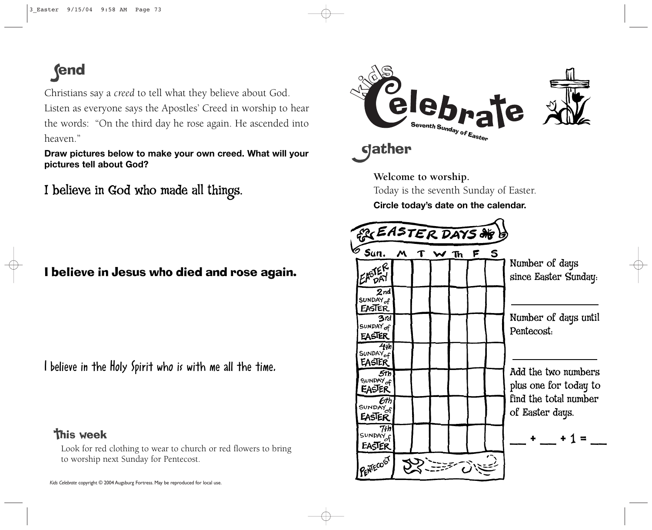## **fend**

Christians say a *creed* to tell what they believe about God. Listen as everyone says the Apostles' Creed in worship to hear the words: "On the third day he rose again. He ascended into heaven."

**Draw pictures below to make your own creed. What will your pictures tell about God?**

I believe in God who made all things.

I believe in Jesus who died and rose again.

I believe in the Holy Spirit who is with me all the time.

**This week** 

Look for red clothing to wear to church or red flowers to bring to worship next Sunday for Pentecost.



**Welcome to worship.** 

Today is the seventh Sunday of Easter.

**Circle today's date on the calendar.** 

| <b>EASTER DAYS OF B</b>                                                                                                                                                                                                                                                                              |   |  |      |  |  |     |                                                                                                                                                                                  |
|------------------------------------------------------------------------------------------------------------------------------------------------------------------------------------------------------------------------------------------------------------------------------------------------------|---|--|------|--|--|-----|----------------------------------------------------------------------------------------------------------------------------------------------------------------------------------|
| 多 Sun.<br>EASTER<br>$\mathcal{A}$<br>$2n$ d<br>SUNDAY <sub>of</sub><br>EASTER<br>3rd<br>SUNDAY of<br>EASTER<br>4th<br>SUNDAY <sub>of</sub><br>EASTER<br>.5th<br>SUNDAY <sub>of</sub><br><b>EASTER</b><br>6tr<br>SUNDAY <sub>of</sub><br>EASTER<br>7łh<br>SUNDAY <sub>of</sub><br>EASTER<br>PENTECOST | Μ |  | W Th |  |  | F S | Number of days<br>since Easter Sunday.<br>Number of days until<br>Pentecost.<br>Add the two numbers<br>plus one for today to<br>find the total number<br>of Easter days.<br>$+1$ |